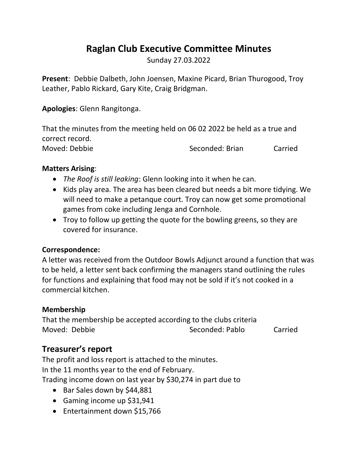# **Raglan Club Executive Committee Minutes**

Sunday 27.03.2022

**Present**: Debbie Dalbeth, John Joensen, Maxine Picard, Brian Thurogood, Troy Leather, Pablo Rickard, Gary Kite, Craig Bridgman.

**Apologies**: Glenn Rangitonga.

That the minutes from the meeting held on 06 02 2022 be held as a true and correct record.

Moved: Debbie Seconded: Brian Carried

# **Matters Arising**:

- *The Roof is still leaking*: Glenn looking into it when he can.
- Kids play area. The area has been cleared but needs a bit more tidying. We will need to make a petanque court. Troy can now get some promotional games from coke including Jenga and Cornhole.
- Troy to follow up getting the quote for the bowling greens, so they are covered for insurance.

# **Correspondence:**

A letter was received from the Outdoor Bowls Adjunct around a function that was to be held, a letter sent back confirming the managers stand outlining the rules for functions and explaining that food may not be sold if it's not cooked in a commercial kitchen.

#### **Membership**

That the membership be accepted according to the clubs criteria Moved: Debbie Seconded: Pablo Carried

# **Treasurer's report**

The profit and loss report is attached to the minutes. In the 11 months year to the end of February. Trading income down on last year by \$30,274 in part due to

- Bar Sales down by \$44,881
- Gaming income up \$31,941
- Entertainment down \$15,766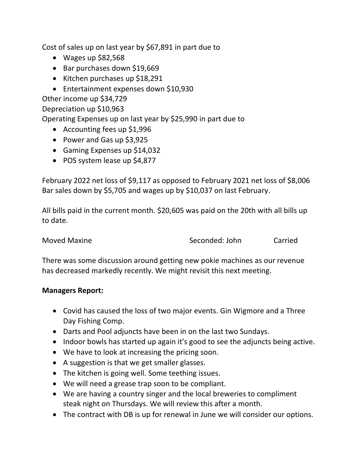Cost of sales up on last year by \$67,891 in part due to

- $\bullet$  Wages up \$82,568
- Bar purchases down \$19,669
- Kitchen purchases up \$18,291
- Entertainment expenses down \$10,930

Other income up \$34,729

Depreciation up \$10,963

Operating Expenses up on last year by \$25,990 in part due to

- Accounting fees up \$1,996
- Power and Gas up \$3,925
- Gaming Expenses up \$14,032
- POS system lease up \$4,877

February 2022 net loss of \$9,117 as opposed to February 2021 net loss of \$8,006 Bar sales down by \$5,705 and wages up by \$10,037 on last February.

All bills paid in the current month. \$20,605 was paid on the 20th with all bills up to date.

Moved Maxine Seconded: John Carried

There was some discussion around getting new pokie machines as our revenue has decreased markedly recently. We might revisit this next meeting.

#### **Managers Report:**

- Covid has caused the loss of two major events. Gin Wigmore and a Three Day Fishing Comp.
- Darts and Pool adjuncts have been in on the last two Sundays.
- Indoor bowls has started up again it's good to see the adjuncts being active.
- We have to look at increasing the pricing soon.
- A suggestion is that we get smaller glasses.
- The kitchen is going well. Some teething issues.
- We will need a grease trap soon to be compliant.
- We are having a country singer and the local breweries to compliment steak night on Thursdays. We will review this after a month.
- The contract with DB is up for renewal in June we will consider our options.